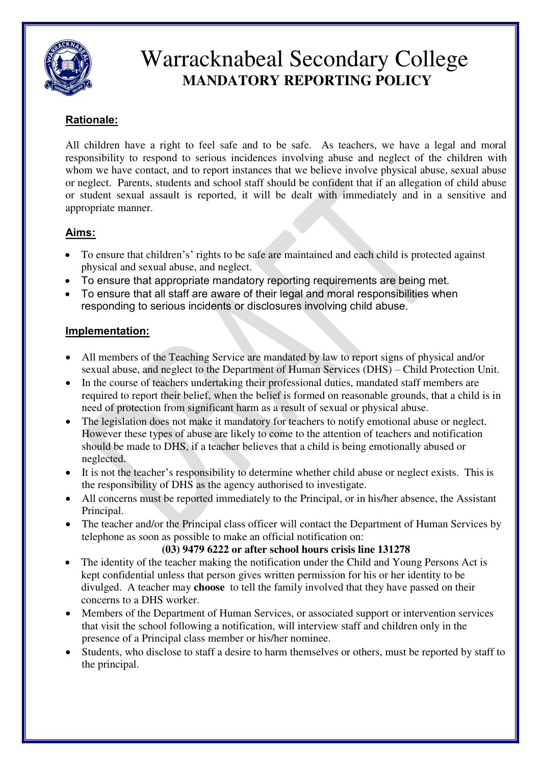

# Warracknabeal Secondary College **MANDATORY REPORTING POLICY**

## **Rationale:**

All children have a right to feel safe and to be safe. As teachers, we have a legal and moral responsibility to respond to serious incidences involving abuse and neglect of the children with whom we have contact, and to report instances that we believe involve physical abuse, sexual abuse or neglect. Parents, students and school staff should be confident that if an allegation of child abuse or student sexual assault is reported, it will be dealt with immediately and in a sensitive and appropriate manner.

### **Aims:**

- To ensure that children's' rights to be safe are maintained and each child is protected against physical and sexual abuse, and neglect.
- To ensure that appropriate mandatory reporting requirements are being met.
- To ensure that all staff are aware of their legal and moral responsibilities when responding to serious incidents or disclosures involving child abuse.

### **Implementation:**

- All members of the Teaching Service are mandated by law to report signs of physical and/or sexual abuse, and neglect to the Department of Human Services (DHS) – Child Protection Unit.
- In the course of teachers undertaking their professional duties, mandated staff members are required to report their belief, when the belief is formed on reasonable grounds, that a child is in need of protection from significant harm as a result of sexual or physical abuse.
- The legislation does not make it mandatory for teachers to notify emotional abuse or neglect. However these types of abuse are likely to come to the attention of teachers and notification should be made to DHS, if a teacher believes that a child is being emotionally abused or neglected.
- It is not the teacher's responsibility to determine whether child abuse or neglect exists. This is the responsibility of DHS as the agency authorised to investigate.
- All concerns must be reported immediately to the Principal, or in his/her absence, the Assistant Principal.
- The teacher and/or the Principal class officer will contact the Department of Human Services by telephone as soon as possible to make an official notification on:

#### **(03) 9479 6222 or after school hours crisis line 131278**

- The identity of the teacher making the notification under the Child and Young Persons Act is kept confidential unless that person gives written permission for his or her identity to be divulged. A teacher may **choose** to tell the family involved that they have passed on their concerns to a DHS worker.
- Members of the Department of Human Services, or associated support or intervention services that visit the school following a notification, will interview staff and children only in the presence of a Principal class member or his/her nominee.
- Students, who disclose to staff a desire to harm themselves or others, must be reported by staff to the principal.